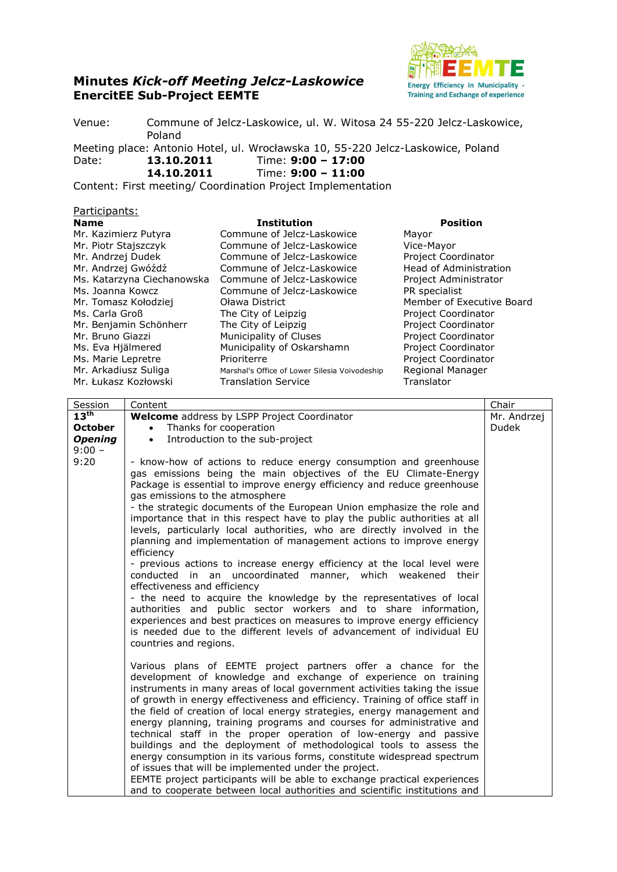## **Minutes** *Kick-off Meeting Jelcz-Laskowice* **EnercitEE Sub-Project EEMTE**



Venue: Commune of Jelcz-Laskowice, ul. W. Witosa 24 55-220 Jelcz-Laskowice, Poland

Meeting place: Antonio Hotel, ul. Wrocławska 10, 55-220 Jelcz-Laskowice, Poland Date: **13.10.2011** Time: **9:00 – 17:00**

**14.10.2011** Time: **9:00 – 11:00**

Content: First meeting/ Coordination Project Implementation

## Participants:

| <b>Name</b>                | <b>Institution</b>                            | <b>Position</b>            |
|----------------------------|-----------------------------------------------|----------------------------|
| Mr. Kazimierz Putyra       | Commune of Jelcz-Laskowice                    | Mayor                      |
| Mr. Piotr Stajszczyk       | Commune of Jelcz-Laskowice                    | Vice-Mayor                 |
| Mr. Andrzej Dudek          | Commune of Jelcz-Laskowice                    | Project Coordinator        |
| Mr. Andrzej Gwóźdź         | Commune of Jelcz-Laskowice                    | Head of Administration     |
| Ms. Katarzyna Ciechanowska | Commune of Jelcz-Laskowice                    | Project Administrator      |
| Ms. Joanna Kowcz           | Commune of Jelcz-Laskowice                    | PR specialist              |
| Mr. Tomasz Kołodziej       | Oława District                                | Member of Executive Board  |
| Ms. Carla Groß             | The City of Leipzig                           | <b>Project Coordinator</b> |
| Mr. Benjamin Schönherr     | The City of Leipzig                           | Project Coordinator        |
| Mr. Bruno Giazzi           | Municipality of Cluses                        | Project Coordinator        |
| Ms. Eva Hjälmered          | Municipality of Oskarshamn                    | Project Coordinator        |
| Ms. Marie Lepretre         | Prioriterre                                   | Project Coordinator        |
| Mr. Arkadiusz Suliga       | Marshal's Office of Lower Silesia Voivodeship | Regional Manager           |
| Mr. Łukasz Kozłowski       | <b>Translation Service</b>                    | Translator                 |

| Session          | Content                                                                                                                                                                                                                                                                                                                                                                                                                                                                                                                                                                                                                                                                                                                                                                                                                                                                                                                                                                                                                                                 | Chair        |
|------------------|---------------------------------------------------------------------------------------------------------------------------------------------------------------------------------------------------------------------------------------------------------------------------------------------------------------------------------------------------------------------------------------------------------------------------------------------------------------------------------------------------------------------------------------------------------------------------------------------------------------------------------------------------------------------------------------------------------------------------------------------------------------------------------------------------------------------------------------------------------------------------------------------------------------------------------------------------------------------------------------------------------------------------------------------------------|--------------|
| $13^{\text{th}}$ | <b>Welcome</b> address by LSPP Project Coordinator                                                                                                                                                                                                                                                                                                                                                                                                                                                                                                                                                                                                                                                                                                                                                                                                                                                                                                                                                                                                      | Mr. Andrzej  |
| <b>October</b>   | Thanks for cooperation<br>$\bullet$                                                                                                                                                                                                                                                                                                                                                                                                                                                                                                                                                                                                                                                                                                                                                                                                                                                                                                                                                                                                                     | <b>Dudek</b> |
| <b>Opening</b>   | Introduction to the sub-project<br>$\bullet$                                                                                                                                                                                                                                                                                                                                                                                                                                                                                                                                                                                                                                                                                                                                                                                                                                                                                                                                                                                                            |              |
| $9:00 -$         |                                                                                                                                                                                                                                                                                                                                                                                                                                                                                                                                                                                                                                                                                                                                                                                                                                                                                                                                                                                                                                                         |              |
| 9:20             | - know-how of actions to reduce energy consumption and greenhouse<br>gas emissions being the main objectives of the EU Climate-Energy<br>Package is essential to improve energy efficiency and reduce greenhouse<br>gas emissions to the atmosphere<br>- the strategic documents of the European Union emphasize the role and<br>importance that in this respect have to play the public authorities at all<br>levels, particularly local authorities, who are directly involved in the<br>planning and implementation of management actions to improve energy<br>efficiency<br>- previous actions to increase energy efficiency at the local level were<br>conducted in an uncoordinated manner, which weakened<br>their<br>effectiveness and efficiency<br>- the need to acquire the knowledge by the representatives of local<br>authorities and public sector workers and to share information,<br>experiences and best practices on measures to improve energy efficiency<br>is needed due to the different levels of advancement of individual EU |              |
|                  | countries and regions.<br>Various plans of EEMTE project partners offer a chance for the<br>development of knowledge and exchange of experience on training                                                                                                                                                                                                                                                                                                                                                                                                                                                                                                                                                                                                                                                                                                                                                                                                                                                                                             |              |
|                  | instruments in many areas of local government activities taking the issue<br>of growth in energy effectiveness and efficiency. Training of office staff in<br>the field of creation of local energy strategies, energy management and<br>energy planning, training programs and courses for administrative and<br>technical staff in the proper operation of low-energy and passive                                                                                                                                                                                                                                                                                                                                                                                                                                                                                                                                                                                                                                                                     |              |
|                  | buildings and the deployment of methodological tools to assess the<br>energy consumption in its various forms, constitute widespread spectrum                                                                                                                                                                                                                                                                                                                                                                                                                                                                                                                                                                                                                                                                                                                                                                                                                                                                                                           |              |
|                  | of issues that will be implemented under the project.                                                                                                                                                                                                                                                                                                                                                                                                                                                                                                                                                                                                                                                                                                                                                                                                                                                                                                                                                                                                   |              |
|                  | EEMTE project participants will be able to exchange practical experiences                                                                                                                                                                                                                                                                                                                                                                                                                                                                                                                                                                                                                                                                                                                                                                                                                                                                                                                                                                               |              |
|                  | and to cooperate between local authorities and scientific institutions and                                                                                                                                                                                                                                                                                                                                                                                                                                                                                                                                                                                                                                                                                                                                                                                                                                                                                                                                                                              |              |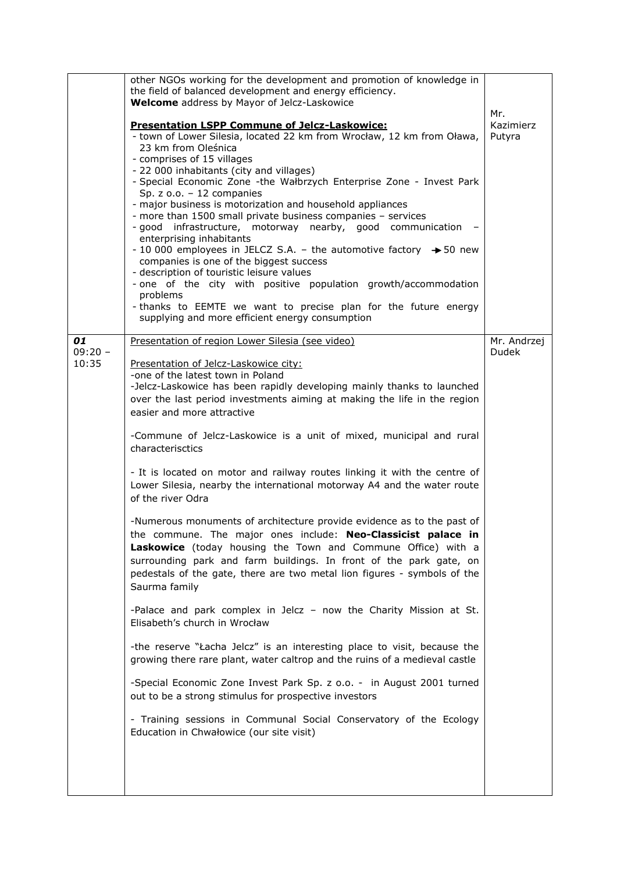|                          | other NGOs working for the development and promotion of knowledge in<br>the field of balanced development and energy efficiency.<br><b>Welcome</b> address by Mayor of Jelcz-Laskowice<br><b>Presentation LSPP Commune of Jelcz-Laskowice:</b><br>- town of Lower Silesia, located 22 km from Wrocław, 12 km from Oława,<br>23 km from Oleśnica<br>- comprises of 15 villages<br>- 22 000 inhabitants (city and villages)<br>- Special Economic Zone -the Wałbrzych Enterprise Zone - Invest Park<br>Sp. $z$ o.o. $-12$ companies<br>- major business is motorization and household appliances<br>- more than 1500 small private business companies - services<br>- good infrastructure, motorway nearby, good communication<br>enterprising inhabitants<br>- 10 000 employees in JELCZ S.A. - the automotive factory $\rightarrow$ 50 new<br>companies is one of the biggest success<br>- description of touristic leisure values<br>- one of the city with positive population growth/accommodation<br>problems<br>- thanks to EEMTE we want to precise plan for the future energy<br>supplying and more efficient energy consumption                                                                                                                                                                                                                                                                                                                                                       | Mr.<br>Kazimierz<br>Putyra  |
|--------------------------|-----------------------------------------------------------------------------------------------------------------------------------------------------------------------------------------------------------------------------------------------------------------------------------------------------------------------------------------------------------------------------------------------------------------------------------------------------------------------------------------------------------------------------------------------------------------------------------------------------------------------------------------------------------------------------------------------------------------------------------------------------------------------------------------------------------------------------------------------------------------------------------------------------------------------------------------------------------------------------------------------------------------------------------------------------------------------------------------------------------------------------------------------------------------------------------------------------------------------------------------------------------------------------------------------------------------------------------------------------------------------------------------------------------------------------------------------------------------------------------------------|-----------------------------|
| 01<br>$09:20 -$<br>10:35 | Presentation of region Lower Silesia (see video)<br>Presentation of Jelcz-Laskowice city:<br>-one of the latest town in Poland<br>-Jelcz-Laskowice has been rapidly developing mainly thanks to launched<br>over the last period investments aiming at making the life in the region<br>easier and more attractive<br>-Commune of Jelcz-Laskowice is a unit of mixed, municipal and rural<br>characterisctics<br>- It is located on motor and railway routes linking it with the centre of<br>Lower Silesia, nearby the international motorway A4 and the water route<br>of the river Odra<br>-Numerous monuments of architecture provide evidence as to the past of<br>the commune. The major ones include: Neo-Classicist palace in<br>Laskowice (today housing the Town and Commune Office) with a<br>surrounding park and farm buildings. In front of the park gate, on<br>pedestals of the gate, there are two metal lion figures - symbols of the<br>Saurma family<br>-Palace and park complex in Jelcz - now the Charity Mission at St.<br>Elisabeth's church in Wrocław<br>-the reserve "Łacha Jelcz" is an interesting place to visit, because the<br>growing there rare plant, water caltrop and the ruins of a medieval castle<br>-Special Economic Zone Invest Park Sp. z o.o. - in August 2001 turned<br>out to be a strong stimulus for prospective investors<br>- Training sessions in Communal Social Conservatory of the Ecology<br>Education in Chwałowice (our site visit) | Mr. Andrzej<br><b>Dudek</b> |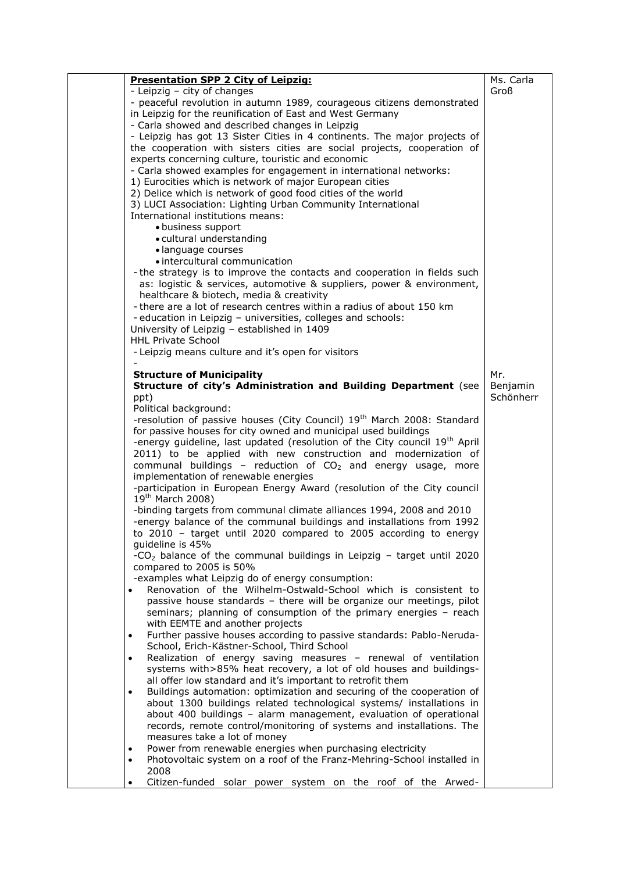| <b>Presentation SPP 2 City of Leipzig:</b>                                                                                            | Ms. Carla |
|---------------------------------------------------------------------------------------------------------------------------------------|-----------|
| - Leipzig - city of changes                                                                                                           | Groß      |
| - peaceful revolution in autumn 1989, courageous citizens demonstrated                                                                |           |
| in Leipzig for the reunification of East and West Germany                                                                             |           |
| - Carla showed and described changes in Leipzig                                                                                       |           |
| - Leipzig has got 13 Sister Cities in 4 continents. The major projects of                                                             |           |
| the cooperation with sisters cities are social projects, cooperation of                                                               |           |
| experts concerning culture, touristic and economic                                                                                    |           |
| - Carla showed examples for engagement in international networks:                                                                     |           |
| 1) Eurocities which is network of major European cities                                                                               |           |
| 2) Delice which is network of good food cities of the world                                                                           |           |
| 3) LUCI Association: Lighting Urban Community International                                                                           |           |
| International institutions means:                                                                                                     |           |
| · business support                                                                                                                    |           |
| · cultural understanding                                                                                                              |           |
| · language courses                                                                                                                    |           |
| • intercultural communication                                                                                                         |           |
| - the strategy is to improve the contacts and cooperation in fields such                                                              |           |
| as: logistic & services, automotive & suppliers, power & environment,                                                                 |           |
| healthcare & biotech, media & creativity                                                                                              |           |
| - there are a lot of research centres within a radius of about 150 km<br>- education in Leipzig - universities, colleges and schools: |           |
| University of Leipzig - established in 1409                                                                                           |           |
| <b>HHL Private School</b>                                                                                                             |           |
| - Leipzig means culture and it's open for visitors                                                                                    |           |
|                                                                                                                                       |           |
| <b>Structure of Municipality</b>                                                                                                      | Mr.       |
| Structure of city's Administration and Building Department (see                                                                       | Benjamin  |
| ppt)                                                                                                                                  | Schönherr |
| Political background:                                                                                                                 |           |
| -resolution of passive houses (City Council) 19 <sup>th</sup> March 2008: Standard                                                    |           |
| for passive houses for city owned and municipal used buildings                                                                        |           |
| -energy guideline, last updated (resolution of the City council 19 <sup>th</sup> April                                                |           |
| 2011) to be applied with new construction and modernization of                                                                        |           |
| communal buildings - reduction of $CO2$ and energy usage, more                                                                        |           |
| implementation of renewable energies                                                                                                  |           |
| -participation in European Energy Award (resolution of the City council                                                               |           |
| 19 <sup>th</sup> March 2008)                                                                                                          |           |
| -binding targets from communal climate alliances 1994, 2008 and 2010                                                                  |           |
| -energy balance of the communal buildings and installations from 1992                                                                 |           |
| to 2010 - target until 2020 compared to 2005 according to energy                                                                      |           |
| guideline is 45%<br>-CO <sub>2</sub> balance of the communal buildings in Leipzig - target until 2020                                 |           |
| compared to 2005 is 50%                                                                                                               |           |
| -examples what Leipzig do of energy consumption:                                                                                      |           |
| Renovation of the Wilhelm-Ostwald-School which is consistent to<br>٠                                                                  |           |
| passive house standards - there will be organize our meetings, pilot                                                                  |           |
| seminars; planning of consumption of the primary energies - reach                                                                     |           |
| with EEMTE and another projects                                                                                                       |           |
| Further passive houses according to passive standards: Pablo-Neruda-<br>$\bullet$                                                     |           |
| School, Erich-Kästner-School, Third School                                                                                            |           |
| Realization of energy saving measures - renewal of ventilation<br>$\bullet$                                                           |           |
| systems with>85% heat recovery, a lot of old houses and buildings-                                                                    |           |
| all offer low standard and it's important to retrofit them                                                                            |           |
| Buildings automation: optimization and securing of the cooperation of<br>$\bullet$                                                    |           |
| about 1300 buildings related technological systems/ installations in                                                                  |           |
| about 400 buildings - alarm management, evaluation of operational                                                                     |           |
| records, remote control/monitoring of systems and installations. The                                                                  |           |
| measures take a lot of money                                                                                                          |           |
| Power from renewable energies when purchasing electricity<br>$\bullet$                                                                |           |
| Photovoltaic system on a roof of the Franz-Mehring-School installed in<br>$\bullet$                                                   |           |
| 2008                                                                                                                                  |           |
| Citizen-funded solar power system on the roof of the Arwed-<br>٠                                                                      |           |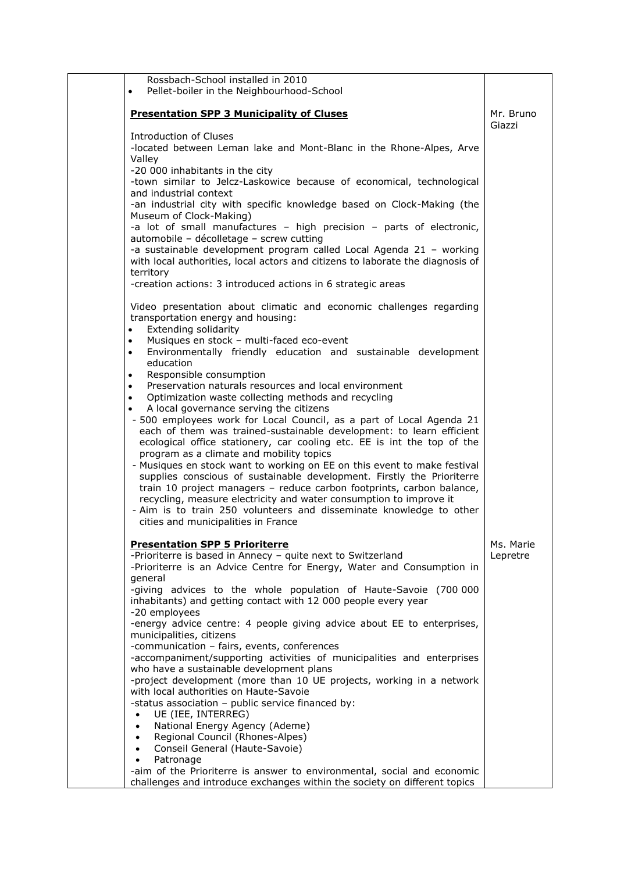| Rossbach-School installed in 2010<br>Pellet-boiler in the Neighbourhood-School<br>$\bullet$                                                                                                                                                                                                                                                                                                                                                                                                                                                                                                                                                                                                                                                                                                                                                                                                                                                                                                                                                                                                                                                                                                                             |                       |
|-------------------------------------------------------------------------------------------------------------------------------------------------------------------------------------------------------------------------------------------------------------------------------------------------------------------------------------------------------------------------------------------------------------------------------------------------------------------------------------------------------------------------------------------------------------------------------------------------------------------------------------------------------------------------------------------------------------------------------------------------------------------------------------------------------------------------------------------------------------------------------------------------------------------------------------------------------------------------------------------------------------------------------------------------------------------------------------------------------------------------------------------------------------------------------------------------------------------------|-----------------------|
| <b>Presentation SPP 3 Municipality of Cluses</b>                                                                                                                                                                                                                                                                                                                                                                                                                                                                                                                                                                                                                                                                                                                                                                                                                                                                                                                                                                                                                                                                                                                                                                        | Mr. Bruno<br>Giazzi   |
| Introduction of Cluses<br>-located between Leman lake and Mont-Blanc in the Rhone-Alpes, Arve<br>Valley<br>-20 000 inhabitants in the city<br>-town similar to Jelcz-Laskowice because of economical, technological<br>and industrial context<br>-an industrial city with specific knowledge based on Clock-Making (the<br>Museum of Clock-Making)<br>-a lot of small manufactures - high precision - parts of electronic,<br>automobile - décolletage - screw cutting<br>-a sustainable development program called Local Agenda 21 - working<br>with local authorities, local actors and citizens to laborate the diagnosis of<br>territory<br>-creation actions: 3 introduced actions in 6 strategic areas                                                                                                                                                                                                                                                                                                                                                                                                                                                                                                            |                       |
| Video presentation about climatic and economic challenges regarding<br>transportation energy and housing:<br><b>Extending solidarity</b><br>$\bullet$<br>Musiques en stock - multi-faced eco-event<br>$\bullet$<br>Environmentally friendly education and sustainable development<br>$\bullet$<br>education<br>• Responsible consumption<br>Preservation naturals resources and local environment<br>$\bullet$<br>Optimization waste collecting methods and recycling<br>$\bullet$<br>A local governance serving the citizens<br>- 500 employees work for Local Council, as a part of Local Agenda 21<br>each of them was trained-sustainable development: to learn efficient<br>ecological office stationery, car cooling etc. EE is int the top of the<br>program as a climate and mobility topics<br>- Musiques en stock want to working on EE on this event to make festival<br>supplies conscious of sustainable development. Firstly the Prioriterre<br>train 10 project managers - reduce carbon footprints, carbon balance,<br>recycling, measure electricity and water consumption to improve it<br>- Aim is to train 250 volunteers and disseminate knowledge to other<br>cities and municipalities in France |                       |
| <b>Presentation SPP 5 Prioriterre</b><br>-Prioriterre is based in Annecy - quite next to Switzerland<br>-Prioriterre is an Advice Centre for Energy, Water and Consumption in<br>general<br>-giving advices to the whole population of Haute-Savoie (700 000<br>inhabitants) and getting contact with 12 000 people every year<br>-20 employees<br>-energy advice centre: 4 people giving advice about EE to enterprises,<br>municipalities, citizens<br>-communication - fairs, events, conferences<br>-accompaniment/supporting activities of municipalities and enterprises<br>who have a sustainable development plans<br>-project development (more than 10 UE projects, working in a network<br>with local authorities on Haute-Savoie<br>-status association - public service financed by:<br>UE (IEE, INTERREG)<br>National Energy Agency (Ademe)<br>$\bullet$<br>Regional Council (Rhones-Alpes)<br>$\bullet$<br>Conseil General (Haute-Savoie)<br>$\bullet$<br>Patronage<br>$\bullet$<br>-aim of the Prioriterre is answer to environmental, social and economic<br>challenges and introduce exchanges within the society on different topics                                                                 | Ms. Marie<br>Lepretre |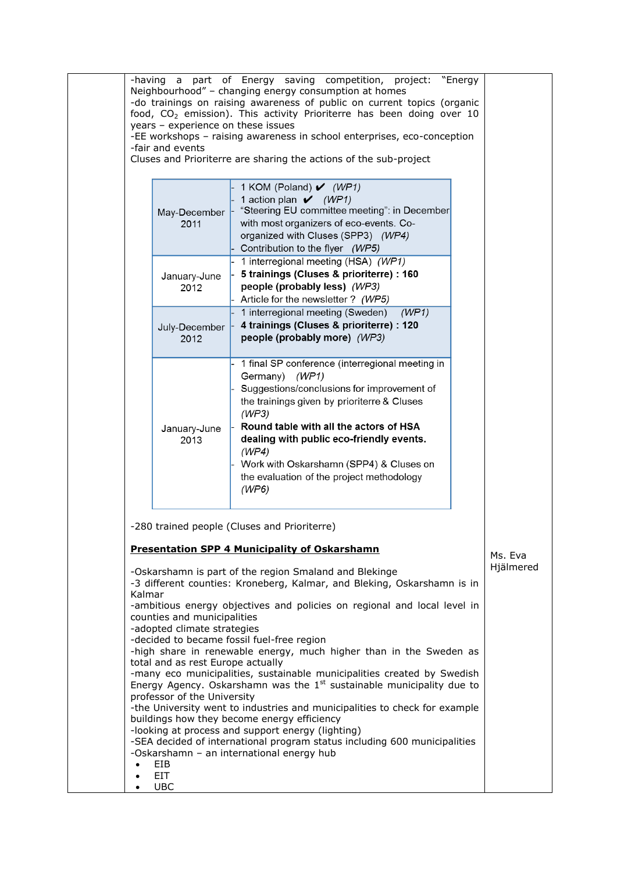|                                     | years - experience on these issues<br>-fair and events                                                                         | -having a part of Energy saving competition, project: "Energy<br>Neighbourhood" - changing energy consumption at homes<br>-do trainings on raising awareness of public on current topics (organic<br>food, CO <sub>2</sub> emission). This activity Prioriterre has been doing over 10<br>-EE workshops - raising awareness in school enterprises, eco-conception<br>Cluses and Prioriterre are sharing the actions of the sub-project                                                                                                                                                                                                                         |                      |
|-------------------------------------|--------------------------------------------------------------------------------------------------------------------------------|----------------------------------------------------------------------------------------------------------------------------------------------------------------------------------------------------------------------------------------------------------------------------------------------------------------------------------------------------------------------------------------------------------------------------------------------------------------------------------------------------------------------------------------------------------------------------------------------------------------------------------------------------------------|----------------------|
|                                     | May-December<br>2011                                                                                                           | 1 KOM (Poland) $\mathcal{V}$ (WP1)<br>1 action plan $\bigvee$ (WP1)<br>"Steering EU committee meeting": in December<br>with most organizers of eco-events. Co-<br>organized with Cluses (SPP3) (WP4)<br>Contribution to the flyer (WP5)                                                                                                                                                                                                                                                                                                                                                                                                                        |                      |
|                                     | January-June<br>2012                                                                                                           | 1 interregional meeting (HSA) (WP1)<br>5 trainings (Cluses & prioriterre) : 160<br>people (probably less) (WP3)<br>Article for the newsletter ? (WP5)                                                                                                                                                                                                                                                                                                                                                                                                                                                                                                          |                      |
|                                     | July-December<br>2012                                                                                                          | 1 interregional meeting (Sweden)<br>(WP1)<br>4 trainings (Cluses & prioriterre) : 120<br>people (probably more) (WP3)                                                                                                                                                                                                                                                                                                                                                                                                                                                                                                                                          |                      |
|                                     | January-June<br>2013                                                                                                           | 1 final SP conference (interregional meeting in<br>Germany) (WP1)<br>Suggestions/conclusions for improvement of<br>the trainings given by prioriterre & Cluses<br>(WP3)<br>Round table with all the actors of HSA<br>dealing with public eco-friendly events.<br>(WP4)<br>Work with Oskarshamn (SPP4) & Cluses on<br>the evaluation of the project methodology<br>(WP6)                                                                                                                                                                                                                                                                                        |                      |
| Kalmar                              |                                                                                                                                | -280 trained people (Cluses and Prioriterre)<br><b>Presentation SPP 4 Municipality of Oskarshamn</b><br>-Oskarshamn is part of the region Smaland and Blekinge<br>-3 different counties: Kroneberg, Kalmar, and Bleking, Oskarshamn is in                                                                                                                                                                                                                                                                                                                                                                                                                      | Ms. Eva<br>Hjälmered |
|                                     | counties and municipalities<br>-adopted climate strategies<br>total and as rest Europe actually<br>professor of the University | -ambitious energy objectives and policies on regional and local level in<br>-decided to became fossil fuel-free region<br>-high share in renewable energy, much higher than in the Sweden as<br>-many eco municipalities, sustainable municipalities created by Swedish<br>Energy Agency. Oskarshamn was the $1st$ sustainable municipality due to<br>-the University went to industries and municipalities to check for example<br>buildings how they become energy efficiency<br>-looking at process and support energy (lighting)<br>-SEA decided of international program status including 600 municipalities<br>-Oskarshamn - an international energy hub |                      |
| $\bullet$<br>$\bullet$<br>$\bullet$ | EIB<br><b>EIT</b><br><b>UBC</b>                                                                                                |                                                                                                                                                                                                                                                                                                                                                                                                                                                                                                                                                                                                                                                                |                      |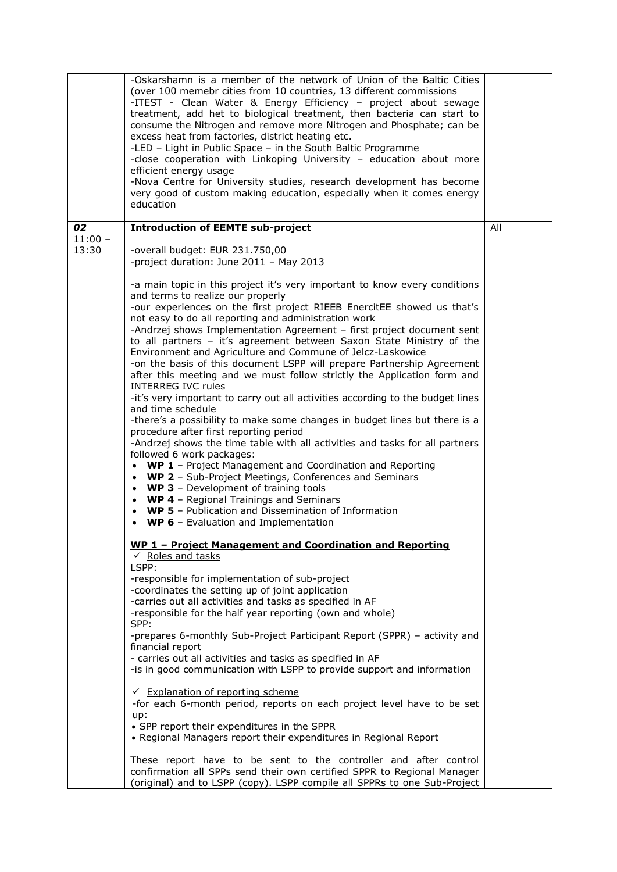|                    | -Oskarshamn is a member of the network of Union of the Baltic Cities<br>(over 100 memebr cities from 10 countries, 13 different commissions<br>-ITEST - Clean Water & Energy Efficiency - project about sewage<br>treatment, add het to biological treatment, then bacteria can start to<br>consume the Nitrogen and remove more Nitrogen and Phosphate; can be<br>excess heat from factories, district heating etc.<br>-LED - Light in Public Space - in the South Baltic Programme<br>-close cooperation with Linkoping University - education about more<br>efficient energy usage<br>-Nova Centre for University studies, research development has become<br>very good of custom making education, especially when it comes energy<br>education                                                                                                                                                                                                                                                                                                                                                                                                                                                                                                                                                                                                                                            |     |
|--------------------|------------------------------------------------------------------------------------------------------------------------------------------------------------------------------------------------------------------------------------------------------------------------------------------------------------------------------------------------------------------------------------------------------------------------------------------------------------------------------------------------------------------------------------------------------------------------------------------------------------------------------------------------------------------------------------------------------------------------------------------------------------------------------------------------------------------------------------------------------------------------------------------------------------------------------------------------------------------------------------------------------------------------------------------------------------------------------------------------------------------------------------------------------------------------------------------------------------------------------------------------------------------------------------------------------------------------------------------------------------------------------------------------|-----|
| 02                 | <b>Introduction of EEMTE sub-project</b>                                                                                                                                                                                                                                                                                                                                                                                                                                                                                                                                                                                                                                                                                                                                                                                                                                                                                                                                                                                                                                                                                                                                                                                                                                                                                                                                                       | All |
| $11:00 -$<br>13:30 | -overall budget: EUR 231.750,00<br>-project duration: June 2011 - May 2013<br>-a main topic in this project it's very important to know every conditions<br>and terms to realize our properly<br>-our experiences on the first project RIEEB EnercitEE showed us that's<br>not easy to do all reporting and administration work<br>-Andrzej shows Implementation Agreement - first project document sent<br>to all partners - it's agreement between Saxon State Ministry of the<br>Environment and Agriculture and Commune of Jelcz-Laskowice<br>-on the basis of this document LSPP will prepare Partnership Agreement<br>after this meeting and we must follow strictly the Application form and<br><b>INTERREG IVC rules</b><br>-it's very important to carry out all activities according to the budget lines<br>and time schedule<br>-there's a possibility to make some changes in budget lines but there is a<br>procedure after first reporting period<br>-Andrzej shows the time table with all activities and tasks for all partners<br>followed 6 work packages:<br>• WP 1 - Project Management and Coordination and Reporting<br>• WP 2 - Sub-Project Meetings, Conferences and Seminars<br>• WP 3 - Development of training tools<br>• WP 4 - Regional Trainings and Seminars<br>• WP 5 - Publication and Dissemination of Information<br>• WP 6 - Evaluation and Implementation |     |
|                    | WP 1 - Project Management and Coordination and Reporting<br>$\checkmark$ Roles and tasks<br>LSPP:<br>-responsible for implementation of sub-project<br>-coordinates the setting up of joint application<br>-carries out all activities and tasks as specified in AF<br>-responsible for the half year reporting (own and whole)<br>SPP:<br>-prepares 6-monthly Sub-Project Participant Report (SPPR) - activity and<br>financial report<br>- carries out all activities and tasks as specified in AF<br>-is in good communication with LSPP to provide support and information<br>← Explanation of reporting scheme<br>-for each 6-month period, reports on each project level have to be set<br>up:<br>• SPP report their expenditures in the SPPR<br>• Regional Managers report their expenditures in Regional Report<br>These report have to be sent to the controller and after control<br>confirmation all SPPs send their own certified SPPR to Regional Manager<br>(original) and to LSPP (copy). LSPP compile all SPPRs to one Sub-Project                                                                                                                                                                                                                                                                                                                                             |     |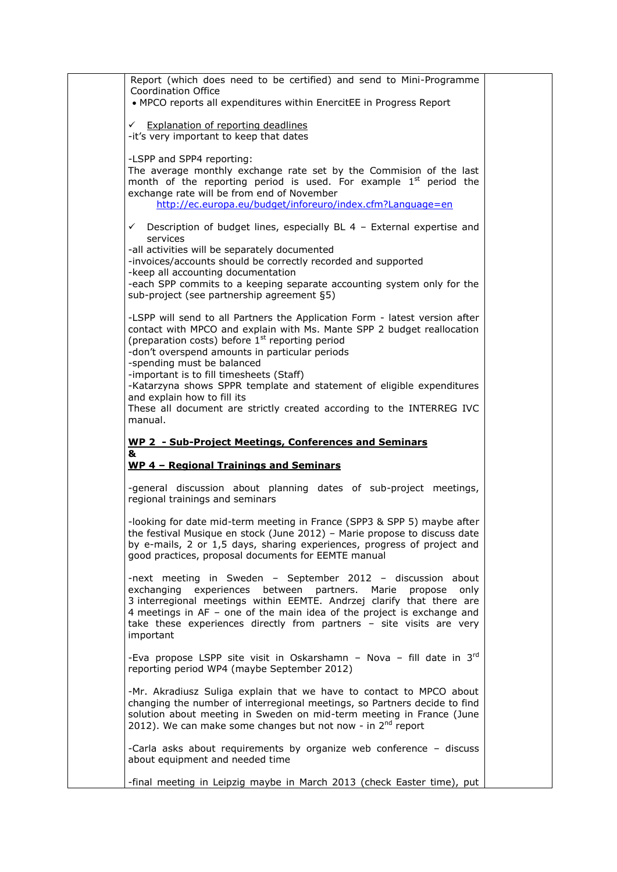| Report (which does need to be certified) and send to Mini-Programme<br>Coordination Office<br>• MPCO reports all expenditures within EnercitEE in Progress Report                                                                                                                                                                                                                                                                                                                                                                 |  |
|-----------------------------------------------------------------------------------------------------------------------------------------------------------------------------------------------------------------------------------------------------------------------------------------------------------------------------------------------------------------------------------------------------------------------------------------------------------------------------------------------------------------------------------|--|
|                                                                                                                                                                                                                                                                                                                                                                                                                                                                                                                                   |  |
| ← Explanation of reporting deadlines<br>-it's very important to keep that dates                                                                                                                                                                                                                                                                                                                                                                                                                                                   |  |
| -LSPP and SPP4 reporting:<br>The average monthly exchange rate set by the Commision of the last<br>month of the reporting period is used. For example 1 <sup>st</sup> period the<br>exchange rate will be from end of November<br>http://ec.europa.eu/budget/inforeuro/index.cfm?Language=en                                                                                                                                                                                                                                      |  |
| $\checkmark$ Description of budget lines, especially BL 4 - External expertise and<br>services<br>-all activities will be separately documented<br>-invoices/accounts should be correctly recorded and supported<br>-keep all accounting documentation<br>-each SPP commits to a keeping separate accounting system only for the<br>sub-project (see partnership agreement §5)                                                                                                                                                    |  |
| -LSPP will send to all Partners the Application Form - latest version after<br>contact with MPCO and explain with Ms. Mante SPP 2 budget reallocation<br>(preparation costs) before 1 <sup>st</sup> reporting period<br>-don't overspend amounts in particular periods<br>-spending must be balanced<br>-important is to fill timesheets (Staff)<br>-Katarzyna shows SPPR template and statement of eligible expenditures<br>and explain how to fill its<br>These all document are strictly created according to the INTERREG IVC |  |
| manual.                                                                                                                                                                                                                                                                                                                                                                                                                                                                                                                           |  |
|                                                                                                                                                                                                                                                                                                                                                                                                                                                                                                                                   |  |
| WP 2 - Sub-Project Meetings, Conferences and Seminars<br>&                                                                                                                                                                                                                                                                                                                                                                                                                                                                        |  |
| WP 4 - Regional Trainings and Seminars                                                                                                                                                                                                                                                                                                                                                                                                                                                                                            |  |
| -general discussion about planning dates of sub-project meetings,<br>regional trainings and seminars                                                                                                                                                                                                                                                                                                                                                                                                                              |  |
| -looking for date mid-term meeting in France (SPP3 & SPP 5) maybe after<br>the festival Musique en stock (June 2012) - Marie propose to discuss date<br>by e-mails, 2 or 1,5 days, sharing experiences, progress of project and<br>good practices, proposal documents for EEMTE manual                                                                                                                                                                                                                                            |  |
| -next meeting in Sweden - September 2012 - discussion about<br>exchanging experiences between partners. Marie propose<br>only<br>3 interregional meetings within EEMTE. Andrzej clarify that there are<br>4 meetings in AF - one of the main idea of the project is exchange and<br>take these experiences directly from partners - site visits are very<br>important                                                                                                                                                             |  |
| -Eva propose LSPP site visit in Oskarshamn - Nova - fill date in 3rd<br>reporting period WP4 (maybe September 2012)                                                                                                                                                                                                                                                                                                                                                                                                               |  |
| -Mr. Akradiusz Suliga explain that we have to contact to MPCO about<br>changing the number of interregional meetings, so Partners decide to find<br>solution about meeting in Sweden on mid-term meeting in France (June<br>2012). We can make some changes but not now - in 2 <sup>nd</sup> report                                                                                                                                                                                                                               |  |
| -Carla asks about requirements by organize web conference - discuss<br>about equipment and needed time                                                                                                                                                                                                                                                                                                                                                                                                                            |  |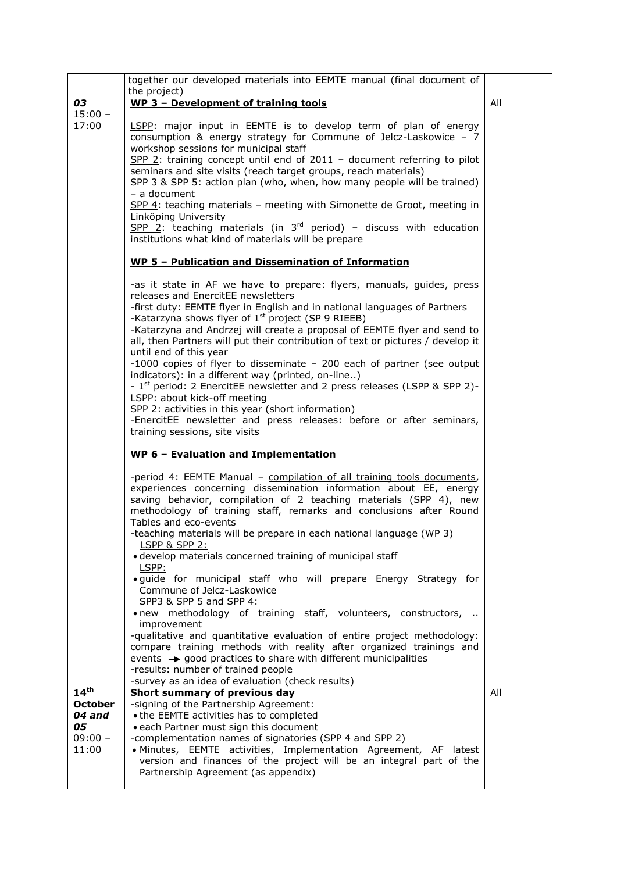|                  | together our developed materials into EEMTE manual (final document of                                                                                                                                                                                                                                           |     |
|------------------|-----------------------------------------------------------------------------------------------------------------------------------------------------------------------------------------------------------------------------------------------------------------------------------------------------------------|-----|
| 03               | the project)<br>WP 3 - Development of training tools                                                                                                                                                                                                                                                            | All |
| $15:00 -$        |                                                                                                                                                                                                                                                                                                                 |     |
| 17:00            | LSPP: major input in EEMTE is to develop term of plan of energy<br>consumption & energy strategy for Commune of Jelcz-Laskowice - 7<br>workshop sessions for municipal staff                                                                                                                                    |     |
|                  | $SPP$ 2: training concept until end of 2011 - document referring to pilot<br>seminars and site visits (reach target groups, reach materials)<br>SPP 3 & SPP 5: action plan (who, when, how many people will be trained)<br>$-$ a document                                                                       |     |
|                  | SPP 4: teaching materials - meeting with Simonette de Groot, meeting in<br>Linköping University                                                                                                                                                                                                                 |     |
|                  | $SPP$ 2: teaching materials (in 3 <sup>rd</sup> period) - discuss with education<br>institutions what kind of materials will be prepare                                                                                                                                                                         |     |
|                  | WP 5 - Publication and Dissemination of Information                                                                                                                                                                                                                                                             |     |
|                  | -as it state in AF we have to prepare: flyers, manuals, guides, press<br>releases and EnercitEE newsletters                                                                                                                                                                                                     |     |
|                  | -first duty: EEMTE flyer in English and in national languages of Partners<br>-Katarzyna shows flyer of $1st$ project (SP 9 RIEEB)                                                                                                                                                                               |     |
|                  | -Katarzyna and Andrzej will create a proposal of EEMTE flyer and send to<br>all, then Partners will put their contribution of text or pictures / develop it<br>until end of this year                                                                                                                           |     |
|                  | -1000 copies of flyer to disseminate $-200$ each of partner (see output<br>indicators): in a different way (printed, on-line)                                                                                                                                                                                   |     |
|                  | - 1 <sup>st</sup> period: 2 EnercitEE newsletter and 2 press releases (LSPP & SPP 2)-<br>LSPP: about kick-off meeting                                                                                                                                                                                           |     |
|                  | SPP 2: activities in this year (short information)<br>-EnercitEE newsletter and press releases: before or after seminars,<br>training sessions, site visits                                                                                                                                                     |     |
|                  | WP 6 - Evaluation and Implementation                                                                                                                                                                                                                                                                            |     |
|                  | -period 4: EEMTE Manual - compilation of all training tools documents,<br>experiences concerning dissemination information about EE, energy<br>saving behavior, compilation of 2 teaching materials (SPP 4), new<br>methodology of training staff, remarks and conclusions after Round<br>Tables and eco-events |     |
|                  | -teaching materials will be prepare in each national language (WP 3)<br><b>LSPP &amp; SPP 2:</b>                                                                                                                                                                                                                |     |
|                  | • develop materials concerned training of municipal staff<br>LSPP:                                                                                                                                                                                                                                              |     |
|                  | · guide for municipal staff who will prepare Energy Strategy for<br>Commune of Jelcz-Laskowice<br>SPP3 & SPP 5 and SPP 4:                                                                                                                                                                                       |     |
|                  | . new methodology of training staff, volunteers, constructors,<br>improvement                                                                                                                                                                                                                                   |     |
|                  | -qualitative and quantitative evaluation of entire project methodology:<br>compare training methods with reality after organized trainings and<br>events $\rightarrow$ good practices to share with different municipalities<br>-results: number of trained people                                              |     |
|                  | -survey as an idea of evaluation (check results)                                                                                                                                                                                                                                                                |     |
| 14 <sup>th</sup> | Short summary of previous day                                                                                                                                                                                                                                                                                   | All |
| <b>October</b>   | -signing of the Partnership Agreement:                                                                                                                                                                                                                                                                          |     |
| 04 and<br>05     | • the EEMTE activities has to completed<br>. each Partner must sign this document                                                                                                                                                                                                                               |     |
| $09:00 -$        | -complementation names of signatories (SPP 4 and SPP 2)                                                                                                                                                                                                                                                         |     |
| 11:00            | · Minutes, EEMTE activities, Implementation Agreement, AF latest                                                                                                                                                                                                                                                |     |
|                  | version and finances of the project will be an integral part of the                                                                                                                                                                                                                                             |     |
|                  | Partnership Agreement (as appendix)                                                                                                                                                                                                                                                                             |     |